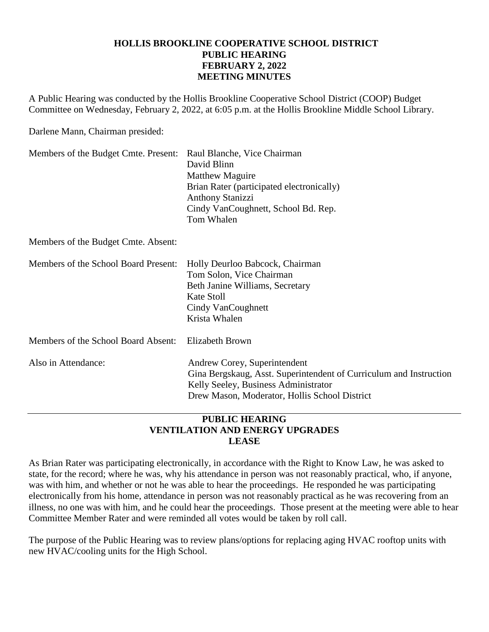## **HOLLIS BROOKLINE COOPERATIVE SCHOOL DISTRICT PUBLIC HEARING FEBRUARY 2, 2022 MEETING MINUTES**

A Public Hearing was conducted by the Hollis Brookline Cooperative School District (COOP) Budget Committee on Wednesday, February 2, 2022, at 6:05 p.m. at the Hollis Brookline Middle School Library.

Darlene Mann, Chairman presided:

| Members of the Budget Cmte. Present: | Raul Blanche, Vice Chairman<br>David Blinn<br><b>Matthew Maguire</b><br>Brian Rater (participated electronically)<br><b>Anthony Stanizzi</b><br>Cindy VanCoughnett, School Bd. Rep.<br>Tom Whalen |
|--------------------------------------|---------------------------------------------------------------------------------------------------------------------------------------------------------------------------------------------------|
| Members of the Budget Cmte. Absent:  |                                                                                                                                                                                                   |
| Members of the School Board Present: | Holly Deurloo Babcock, Chairman<br>Tom Solon, Vice Chairman<br>Beth Janine Williams, Secretary<br>Kate Stoll<br>Cindy VanCoughnett<br>Krista Whalen                                               |
| Members of the School Board Absent:  | <b>Elizabeth Brown</b>                                                                                                                                                                            |
| Also in Attendance:                  | Andrew Corey, Superintendent<br>Gina Bergskaug, Asst. Superintendent of Curriculum and Instruction<br>Kelly Seeley, Business Administrator<br>Drew Mason, Moderator, Hollis School District       |

## **PUBLIC HEARING VENTILATION AND ENERGY UPGRADES LEASE**

As Brian Rater was participating electronically, in accordance with the Right to Know Law, he was asked to state, for the record; where he was, why his attendance in person was not reasonably practical, who, if anyone, was with him, and whether or not he was able to hear the proceedings. He responded he was participating electronically from his home, attendance in person was not reasonably practical as he was recovering from an illness, no one was with him, and he could hear the proceedings. Those present at the meeting were able to hear Committee Member Rater and were reminded all votes would be taken by roll call.

The purpose of the Public Hearing was to review plans/options for replacing aging HVAC rooftop units with new HVAC/cooling units for the High School.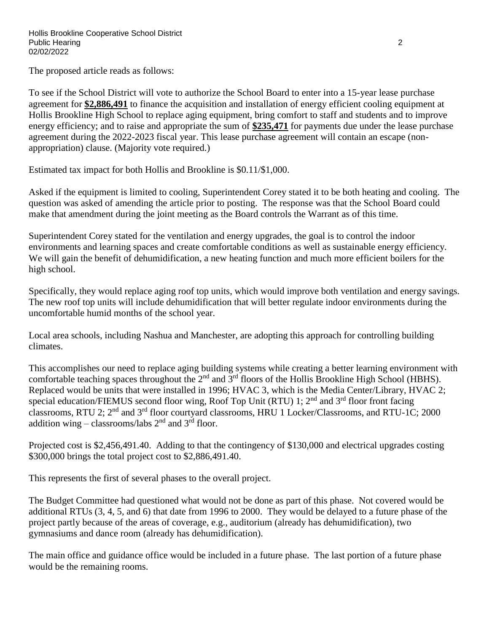The proposed article reads as follows:

To see if the School District will vote to authorize the School Board to enter into a 15-year lease purchase agreement for **\$2,886,491** to finance the acquisition and installation of energy efficient cooling equipment at Hollis Brookline High School to replace aging equipment, bring comfort to staff and students and to improve energy efficiency; and to raise and appropriate the sum of **\$235,471** for payments due under the lease purchase agreement during the 2022-2023 fiscal year. This lease purchase agreement will contain an escape (nonappropriation) clause. (Majority vote required.)

Estimated tax impact for both Hollis and Brookline is \$0.11/\$1,000.

Asked if the equipment is limited to cooling, Superintendent Corey stated it to be both heating and cooling. The question was asked of amending the article prior to posting. The response was that the School Board could make that amendment during the joint meeting as the Board controls the Warrant as of this time.

Superintendent Corey stated for the ventilation and energy upgrades, the goal is to control the indoor environments and learning spaces and create comfortable conditions as well as sustainable energy efficiency. We will gain the benefit of dehumidification, a new heating function and much more efficient boilers for the high school.

Specifically, they would replace aging roof top units, which would improve both ventilation and energy savings. The new roof top units will include dehumidification that will better regulate indoor environments during the uncomfortable humid months of the school year.

Local area schools, including Nashua and Manchester, are adopting this approach for controlling building climates.

This accomplishes our need to replace aging building systems while creating a better learning environment with comfortable teaching spaces throughout the 2<sup>nd</sup> and 3<sup>rd</sup> floors of the Hollis Brookline High School (HBHS). Replaced would be units that were installed in 1996; HVAC 3, which is the Media Center/Library, HVAC 2; special education/FIEMUS second floor wing, Roof Top Unit (RTU) 1;  $2<sup>nd</sup>$  and  $3<sup>rd</sup>$  floor front facing classrooms, RTU 2; 2nd and 3rd floor courtyard classrooms, HRU 1 Locker/Classrooms, and RTU-1C; 2000 addition wing – classrooms/labs  $2<sup>nd</sup>$  and  $3<sup>rd</sup>$  floor.

Projected cost is \$2,456,491.40. Adding to that the contingency of \$130,000 and electrical upgrades costing \$300,000 brings the total project cost to \$2,886,491.40.

This represents the first of several phases to the overall project.

The Budget Committee had questioned what would not be done as part of this phase. Not covered would be additional RTUs (3, 4, 5, and 6) that date from 1996 to 2000. They would be delayed to a future phase of the project partly because of the areas of coverage, e.g., auditorium (already has dehumidification), two gymnasiums and dance room (already has dehumidification).

The main office and guidance office would be included in a future phase. The last portion of a future phase would be the remaining rooms.